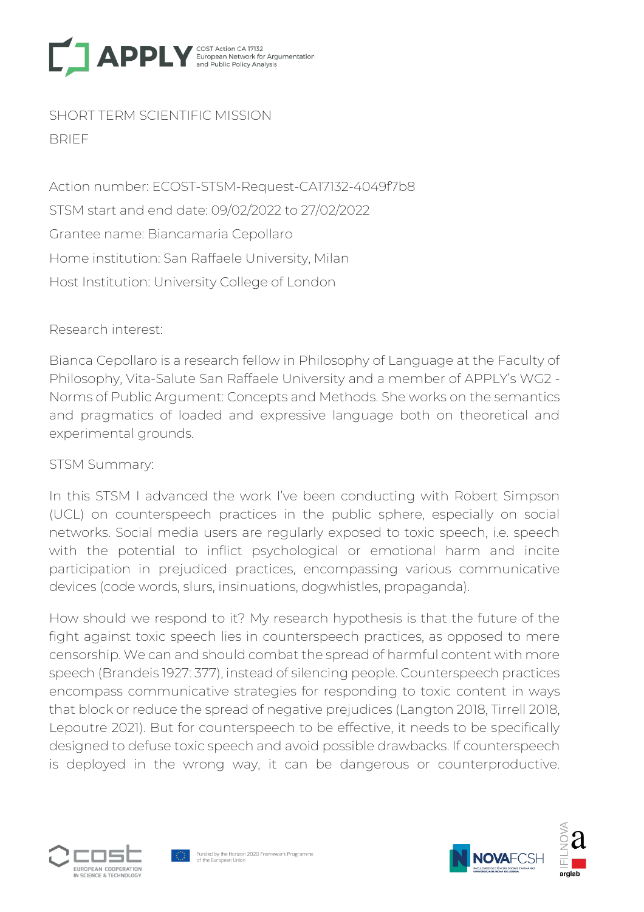

SHORT TERM SCIENTIFIC MISSION BRIEF

Action number: ECOST-STSM-Request-CA17132-4049f7b8 STSM start and end date: 09/02/2022 to 27/02/2022 Grantee name: Biancamaria Cepollaro Home institution: San Raffaele University, Milan Host Institution: University College of London

Research interest:

Bianca Cepollaro is a research fellow in Philosophy of Language at the Faculty of Philosophy, Vita-Salute San Raffaele University and a member of APPLY's WG2 - Norms of Public Argument: Concepts and Methods. She works on the semantics and pragmatics of loaded and expressive language both on theoretical and experimental grounds.

## STSM Summary:

In this STSM I advanced the work I've been conducting with Robert Simpson (UCL) on counterspeech practices in the public sphere, especially on social networks. Social media users are regularly exposed to toxic speech, i.e. speech with the potential to inflict psychological or emotional harm and incite participation in prejudiced practices, encompassing various communicative devices (code words, slurs, insinuations, dogwhistles, propaganda).

How should we respond to it? My research hypothesis is that the future of the fight against toxic speech lies in counterspeech practices, as opposed to mere censorship. We can and should combat the spread of harmful content with more speech (Brandeis 1927: 377), instead of silencing people. Counterspeech practices encompass communicative strategies for responding to toxic content in ways that block or reduce the spread of negative prejudices (Langton 2018, Tirrell 2018, Lepoutre 2021). But for counterspeech to be effective, it needs to be specifically designed to defuse toxic speech and avoid possible drawbacks. If counterspeech is deployed in the wrong way, it can be dangerous or counterproductive.